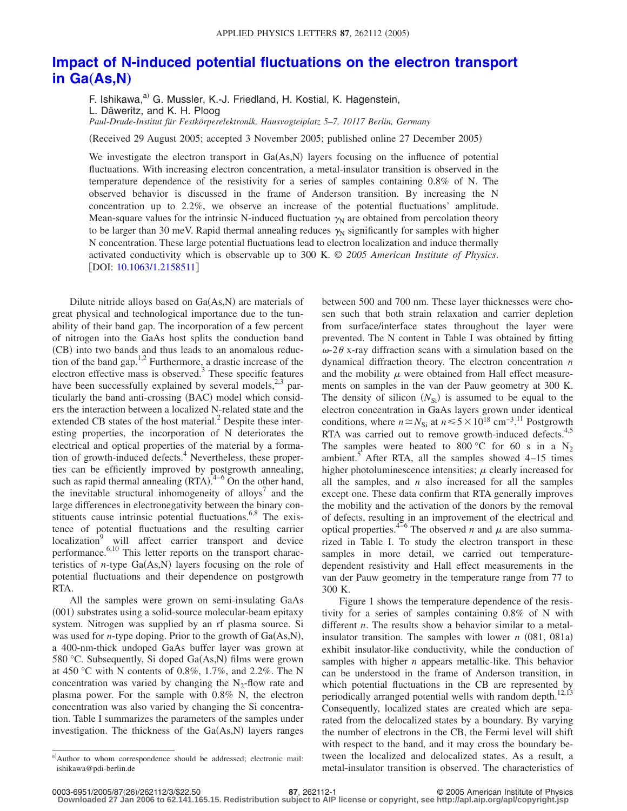## **[Impact of N-induced potential fluctuations on the electron transport](http://dx.doi.org/10.1063/1.2158511) [in Ga](http://dx.doi.org/10.1063/1.2158511)(As,N)**

F. Ishikawa,<sup>a)</sup> G. Mussler, K.-J. Friedland, H. Kostial, K. Hagenstein,

L. Däweritz, and K. H. Ploog

*Paul-Drude-Institut für Festkörperelektronik, Hausvogteiplatz 5–7, 10117 Berlin, Germany*

Received 29 August 2005; accepted 3 November 2005; published online 27 December 2005-

We investigate the electron transport in  $Ga(As, N)$  layers focusing on the influence of potential fluctuations. With increasing electron concentration, a metal-insulator transition is observed in the temperature dependence of the resistivity for a series of samples containing 0.8% of N. The observed behavior is discussed in the frame of Anderson transition. By increasing the N concentration up to 2.2%, we observe an increase of the potential fluctuations' amplitude. Mean-square values for the intrinsic N-induced fluctuation  $\gamma_N$  are obtained from percolation theory to be larger than 30 meV. Rapid thermal annealing reduces  $\gamma_N$  significantly for samples with higher N concentration. These large potential fluctuations lead to electron localization and induce thermally activated conductivity which is observable up to 300 K. © *2005 American Institute of Physics*. [DOI: [10.1063/1.2158511](http://dx.doi.org/10.1063/1.2158511)]

Dilute nitride alloys based on Ga(As,N) are materials of great physical and technological importance due to the tunability of their band gap. The incorporation of a few percent of nitrogen into the GaAs host splits the conduction band (CB) into two bands and thus leads to an anomalous reduction of the band gap.<sup>1,2</sup> Furthermore, a drastic increase of the electron effective mass is observed. $3$  These specific features have been successfully explained by several models,  $2^{3}$  particularly the band anti-crossing (BAC) model which considers the interaction between a localized N-related state and the extended CB states of the host material.<sup>2</sup> Despite these interesting properties, the incorporation of N deteriorates the electrical and optical properties of the material by a formation of growth-induced defects. $4$  Nevertheless, these properties can be efficiently improved by postgrowth annealing, such as rapid thermal annealing  $(RTA)$ .<sup>4-6</sup> On the other hand, the inevitable structural inhomogeneity of alloys<sup>7</sup> and the large differences in electronegativity between the binary constituents cause intrinsic potential fluctuations.<sup>6,8</sup> The existence of potential fluctuations and the resulting carrier localization<sup>9</sup> will affect carrier transport and device performance.<sup>6,10</sup> This letter reports on the transport characteristics of  $n$ -type  $Ga(As, N)$  layers focusing on the role of potential fluctuations and their dependence on postgrowth RTA.

All the samples were grown on semi-insulating GaAs (001) substrates using a solid-source molecular-beam epitaxy system. Nitrogen was supplied by an rf plasma source. Si was used for *n*-type doping. Prior to the growth of Ga(As,N), a 400-nm-thick undoped GaAs buffer layer was grown at 580 °C. Subsequently, Si doped Ga(As,N) films were grown at 450 °C with N contents of 0.8%, 1.7%, and 2.2%. The N concentration was varied by changing the  $N_2$ -flow rate and plasma power. For the sample with 0.8% N, the electron concentration was also varied by changing the Si concentration. Table I summarizes the parameters of the samples under investigation. The thickness of the Ga(As,N) layers ranges

between 500 and 700 nm. These layer thicknesses were chosen such that both strain relaxation and carrier depletion from surface/interface states throughout the layer were prevented. The N content in Table I was obtained by fitting  $\omega$ -2 $\theta$  x-ray diffraction scans with a simulation based on the dynamical diffraction theory. The electron concentration *n* and the mobility  $\mu$  were obtained from Hall effect measurements on samples in the van der Pauw geometry at 300 K. The density of silicon  $(N_{\rm Si})$  is assumed to be equal to the electron concentration in GaAs layers grown under identical conditions, where  $n \approx N_{\text{Si}}$  at  $n \le 5 \times 10^{18}$  cm<sup>-3.11</sup> Postgrowth RTA was carried out to remove growth-induced defects.<sup>4,5</sup> The samples were heated to 800 °C for 60 s in a  $N_2$ ambient.<sup>5</sup> After RTA, all the samples showed  $4-15$  times higher photoluminescence intensities;  $\mu$  clearly increased for all the samples, and *n* also increased for all the samples except one. These data confirm that RTA generally improves the mobility and the activation of the donors by the removal of defects, resulting in an improvement of the electrical and optical properties.<sup>4–6</sup> The observed *n* and  $\mu$  are also summarized in Table I. To study the electron transport in these samples in more detail, we carried out temperaturedependent resistivity and Hall effect measurements in the van der Pauw geometry in the temperature range from 77 to 300 K.

Figure 1 shows the temperature dependence of the resistivity for a series of samples containing 0.8% of N with different *n*. The results show a behavior similar to a metalinsulator transition. The samples with lower  $n$  (081, 081a) exhibit insulator-like conductivity, while the conduction of samples with higher *n* appears metallic-like. This behavior can be understood in the frame of Anderson transition, in which potential fluctuations in the CB are represented by periodically arranged potential wells with random depth.<sup>12,13</sup> Consequently, localized states are created which are separated from the delocalized states by a boundary. By varying the number of electrons in the CB, the Fermi level will shift with respect to the band, and it may cross the boundary between the localized and delocalized states. As a result, a metal-insulator transition is observed. The characteristics of

a)Author to whom correspondence should be addressed; electronic mail: ishikawa@pdi-berlin.de

**<sup>87</sup>**, 262112-1 © 2005 American Institute of Physics

**Downloaded 27 Jan 2006 to 62.141.165.15. Redistribution subject to AIP license or copyright, see http://apl.aip.org/apl/copyright.jsp**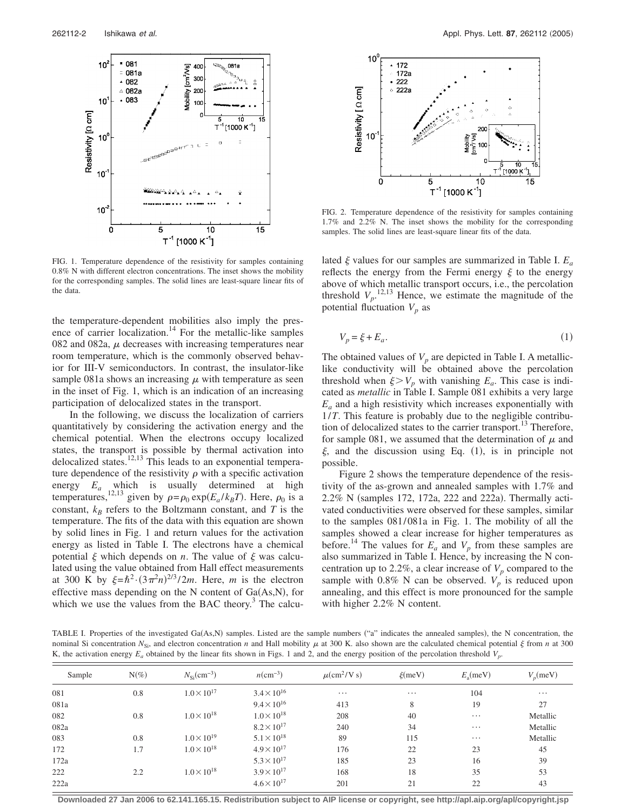

FIG. 1. Temperature dependence of the resistivity for samples containing 0.8% N with different electron concentrations. The inset shows the mobility for the corresponding samples. The solid lines are least-square linear fits of the data.

the temperature-dependent mobilities also imply the presence of carrier localization.<sup>14</sup> For the metallic-like samples 082 and 082a,  $\mu$  decreases with increasing temperatures near room temperature, which is the commonly observed behavior for III-V semiconductors. In contrast, the insulator-like sample 081a shows an increasing  $\mu$  with temperature as seen in the inset of Fig. 1, which is an indication of an increasing participation of delocalized states in the transport.

In the following, we discuss the localization of carriers quantitatively by considering the activation energy and the chemical potential. When the electrons occupy localized states, the transport is possible by thermal activation into delocalized states.<sup>12,13</sup> This leads to an exponential temperature dependence of the resistivity  $\rho$  with a specific activation energy  $E_a$  which is usually determined at high temperatures,<sup>12,13</sup> given by  $\rho = \rho_0 \exp(E_a / k_B T)$ . Here,  $\rho_0$  is a constant,  $k_B$  refers to the Boltzmann constant, and *T* is the temperature. The fits of the data with this equation are shown by solid lines in Fig. 1 and return values for the activation energy as listed in Table I. The electrons have a chemical potential  $\xi$  which depends on *n*. The value of  $\xi$  was calculated using the value obtained from Hall effect measurements at 300 K by  $\xi = \hbar^2 \cdot (3\pi^2 n)^{2/3} / 2m$ . Here, *m* is the electron effective mass depending on the N content of  $Ga(As, N)$ , for which we use the values from the BAC theory. $3$  The calcu-



FIG. 2. Temperature dependence of the resistivity for samples containing 1.7% and 2.2% N. The inset shows the mobility for the corresponding samples. The solid lines are least-square linear fits of the data.

lated  $\xi$  values for our samples are summarized in Table I.  $E_a$ reflects the energy from the Fermi energy  $\xi$  to the energy above of which metallic transport occurs, i.e., the percolation threshold  $V_p$ .<sup>12,13</sup> Hence, we estimate the magnitude of the potential fluctuation  $V_p$  as

$$
V_p = \xi + E_a. \tag{1}
$$

The obtained values of  $V_p$  are depicted in Table I. A metalliclike conductivity will be obtained above the percolation threshold when  $\xi > V_p$  with vanishing  $E_a$ . This case is indicated as *metallic* in Table I. Sample 081 exhibits a very large  $E_a$  and a high resistivity which increases exponentially with 1/*T*. This feature is probably due to the negligible contribution of delocalized states to the carrier transport.<sup>13</sup> Therefore, for sample 081, we assumed that the determination of  $\mu$  and  $\xi$ , and the discussion using Eq. (1), is in principle not possible.

Figure 2 shows the temperature dependence of the resistivity of the as-grown and annealed samples with 1.7% and 2.2% N (samples 172, 172a, 222 and 222a). Thermally activated conductivities were observed for these samples, similar to the samples 081/ 081a in Fig. 1. The mobility of all the samples showed a clear increase for higher temperatures as before.<sup>14</sup> The values for  $E_a$  and  $V_p$  from these samples are also summarized in Table I. Hence, by increasing the N concentration up to 2.2%, a clear increase of  $V_p$  compared to the sample with 0.8% N can be observed.  $V_p$  is reduced upon annealing, and this effect is more pronounced for the sample with higher 2.2% N content.

TABLE I. Properties of the investigated Ga(As,N) samples. Listed are the sample numbers ("a" indicates the annealed samples), the N concentration, the nominal Si concentration  $N_{Si}$ , and electron concentration *n* and Hall mobility  $\mu$  at 300 K. also shown are the calculated chemical potential  $\xi$  from *n* at 300 K, the activation energy  $E_a$  obtained by the linear fits shown in Figs. 1 and 2, and the energy position of the percolation threshold  $V_p$ .

| Sample | $N(\%)$ | $N_{\rm Si}$ (cm <sup>-3</sup> ) | $n$ (cm <sup>-3</sup> ) | $\mu$ (cm <sup>2</sup> /V s) | $\xi$ (meV) | $E_{\rm a}$ (meV) | $V_n$ (meV) |
|--------|---------|----------------------------------|-------------------------|------------------------------|-------------|-------------------|-------------|
| 081    | 0.8     | $1.0 \times 10^{17}$             | $3.4 \times 10^{16}$    | $\cdots$                     | $\cdots$    | 104               | $\cdots$    |
| 081a   |         |                                  | $9.4 \times 10^{16}$    | 413                          | 8           | 19                | 27          |
| 082    | 0.8     | $1.0 \times 10^{18}$             | $1.0 \times 10^{18}$    | 208                          | 40          | $\cdots$          | Metallic    |
| 082a   |         |                                  | $8.2 \times 10^{17}$    | 240                          | 34          | $\cdots$          | Metallic    |
| 083    | 0.8     | $1.0 \times 10^{19}$             | $5.1 \times 10^{18}$    | 89                           | 115         | $\cdots$          | Metallic    |
| 172    | 1.7     | $1.0 \times 10^{18}$             | $4.9 \times 10^{17}$    | 176                          | 22          | 23                | 45          |
| 172a   |         |                                  | $5.3 \times 10^{17}$    | 185                          | 23          | 16                | 39          |
| 222    | 2.2     | $1.0 \times 10^{18}$             | $3.9 \times 10^{17}$    | 168                          | 18          | 35                | 53          |
| 222a   |         |                                  | $4.6 \times 10^{17}$    | 201                          | 21          | 22                | 43          |

**Downloaded 27 Jan 2006 to 62.141.165.15. Redistribution subject to AIP license or copyright, see http://apl.aip.org/apl/copyright.jsp**